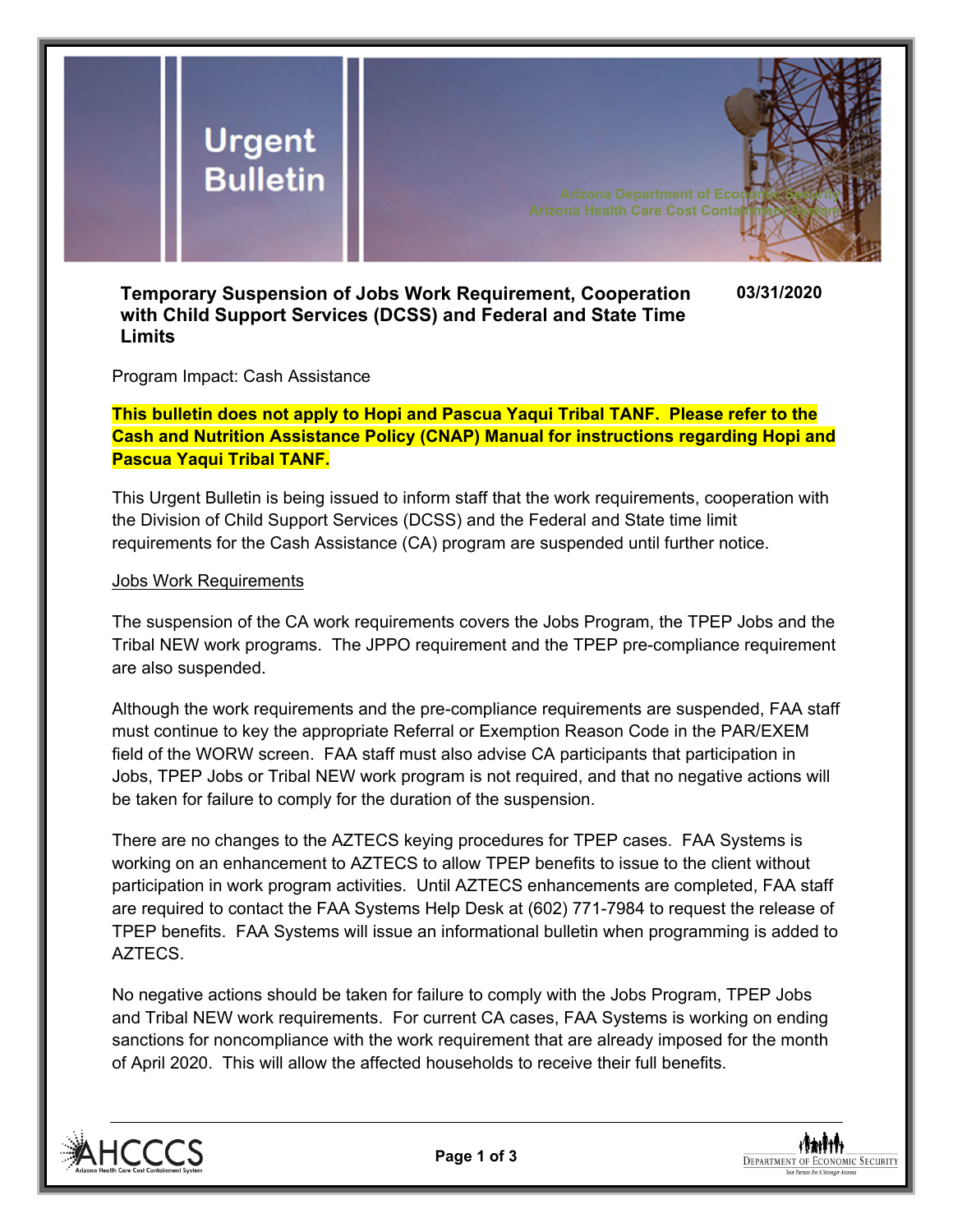

## **Temporary Suspension of Jobs Work Requirement, Cooperation with Child Support Services (DCSS) and Federal and State Time Limits**

**03/31/2020** 

Program Impact: Cash Assistance

**This bulletin does not apply to Hopi and Pascua Yaqui Tribal TANF. Please refer to the Cash and Nutrition Assistance Policy (CNAP) Manual for instructions regarding Hopi and Pascua Yaqui Tribal TANF.** 

This Urgent Bulletin is being issued to inform staff that the work requirements, cooperation with the Division of Child Support Services (DCSS) and the Federal and State time limit requirements for the Cash Assistance (CA) program are suspended until further notice.

## Jobs Work Requirements

The suspension of the CA work requirements covers the Jobs Program, the TPEP Jobs and the Tribal NEW work programs. The JPPO requirement and the TPEP pre-compliance requirement are also suspended.

Although the work requirements and the pre-compliance requirements are suspended, FAA staff must continue to key the appropriate Referral or Exemption Reason Code in the PAR/EXEM field of the WORW screen. FAA staff must also advise CA participants that participation in Jobs, TPEP Jobs or Tribal NEW work program is not required, and that no negative actions will be taken for failure to comply for the duration of the suspension.

There are no changes to the AZTECS keying procedures for TPEP cases. FAA Systems is working on an enhancement to AZTECS to allow TPEP benefits to issue to the client without participation in work program activities. Until AZTECS enhancements are completed, FAA staff are required to contact the FAA Systems Help Desk at (602) 771-7984 to request the release of TPEP benefits. FAA Systems will issue an informational bulletin when programming is added to AZTECS.

No negative actions should be taken for failure to comply with the Jobs Program, TPEP Jobs and Tribal NEW work requirements. For current CA cases, FAA Systems is working on ending sanctions for noncompliance with the work requirement that are already imposed for the month of April 2020. This will allow the affected households to receive their full benefits.



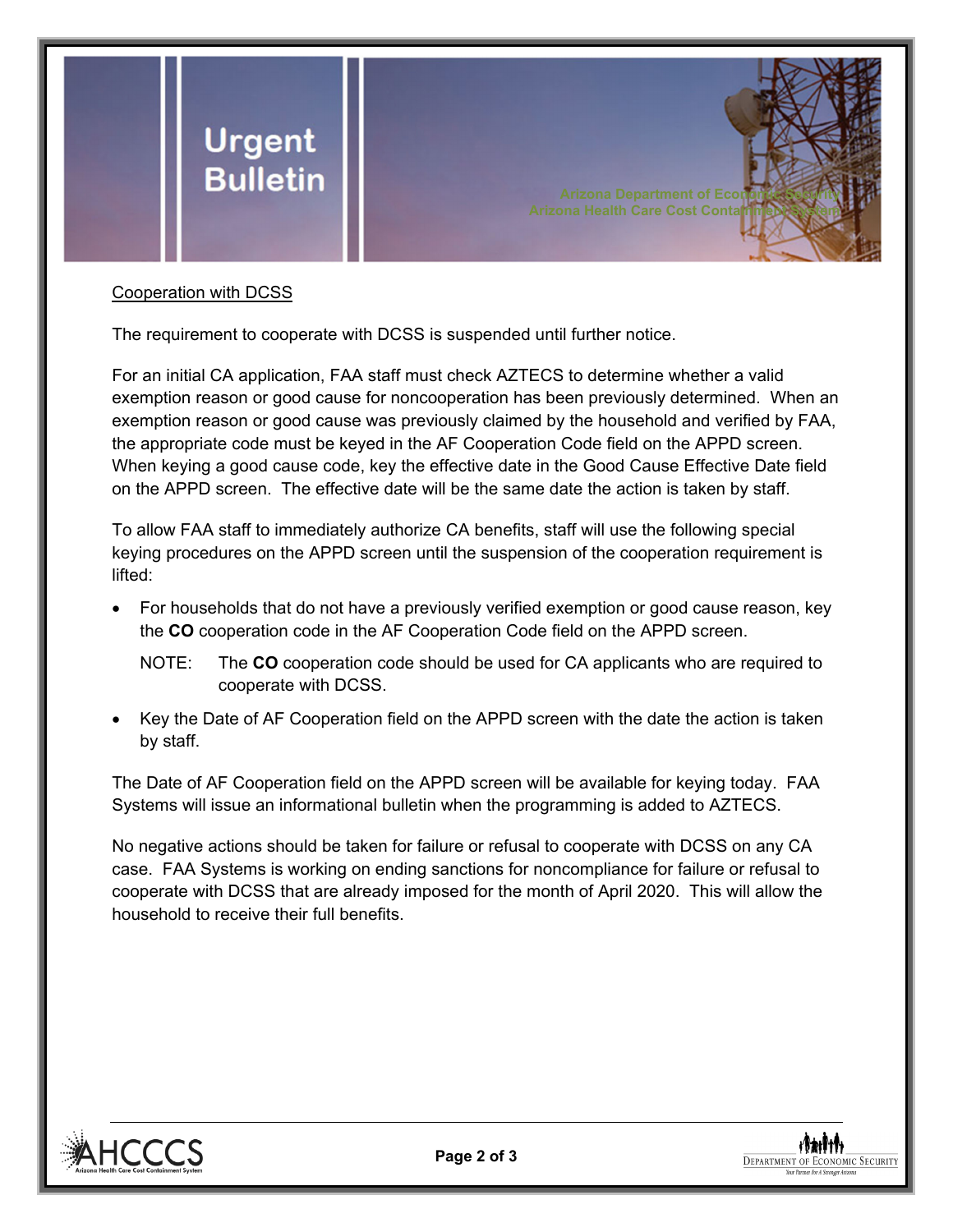

## Cooperation with DCSS

The requirement to cooperate with DCSS is suspended until further notice.

For an initial CA application, FAA staff must check AZTECS to determine whether a valid exemption reason or good cause for noncooperation has been previously determined. When an exemption reason or good cause was previously claimed by the household and verified by FAA, the appropriate code must be keyed in the AF Cooperation Code field on the APPD screen. When keying a good cause code, key the effective date in the Good Cause Effective Date field on the APPD screen. The effective date will be the same date the action is taken by staff.

To allow FAA staff to immediately authorize CA benefits, staff will use the following special keying procedures on the APPD screen until the suspension of the cooperation requirement is lifted:

- For households that do not have a previously verified exemption or good cause reason, key the **CO** cooperation code in the AF Cooperation Code field on the APPD screen.
	- NOTE: The **CO** cooperation code should be used for CA applicants who are required to cooperate with DCSS.
- Key the Date of AF Cooperation field on the APPD screen with the date the action is taken by staff.

The Date of AF Cooperation field on the APPD screen will be available for keying today. FAA Systems will issue an informational bulletin when the programming is added to AZTECS.

No negative actions should be taken for failure or refusal to cooperate with DCSS on any CA case. FAA Systems is working on ending sanctions for noncompliance for failure or refusal to cooperate with DCSS that are already imposed for the month of April 2020. This will allow the household to receive their full benefits.